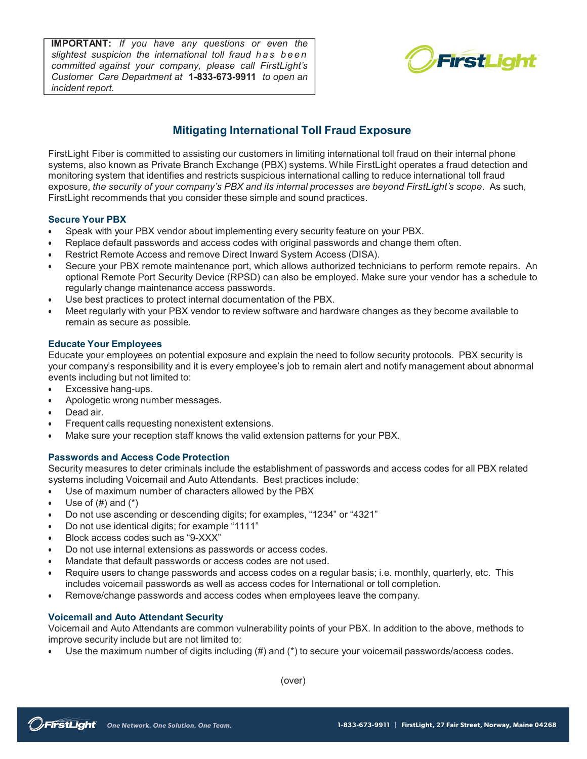**IMPORTANT:** *If you have any questions or even the slightest suspicion the international toll fraud has been committed against your company, please call FirstLight's Customer Care Department at* **1–800–461–4863** *to open an* **1-833-673-9911***incident report.*



# **Mitigating International Toll Fraud Exposure**

FirstLight Fiber is committed to assisting our customers in limiting international toll fraud on their internal phone systems, also known as Private Branch Exchange (PBX) systems. While FirstLight operates a fraud detection and monitoring system that identifies and restricts suspicious international calling to reduce international toll fraud exposure, *the security of your company's PBX and its internal processes are beyond FirstLight's scope*. As such, FirstLight recommends that you consider these simple and sound practices.

### **Secure Your PBX**

- Speak with your PBX vendor about implementing every security feature on your PBX.
- Replace default passwords and access codes with original passwords and change them often.
- Restrict Remote Access and remove Direct Inward System Access (DISA).
- Secure your PBX remote maintenance port, which allows authorized technicians to perform remote repairs. An optional Remote Port Security Device (RPSD) can also be employed. Make sure your vendor has a schedule to regularly change maintenance access passwords.
- Use best practices to protect internal documentation of the PBX.
- Meet regularly with your PBX vendor to review software and hardware changes as they become available to remain as secure as possible.

### **Educate Your Employees**

Educate your employees on potential exposure and explain the need to follow security protocols. PBX security is your company's responsibility and it is every employee's job to remain alert and notify management about abnormal events including but not limited to:

- Excessive hang-ups.
- Apologetic wrong number messages.
- Dead air.
- Frequent calls requesting nonexistent extensions.
- Make sure your reception staff knows the valid extension patterns for your PBX.

## **Passwords and Access Code Protection**

Security measures to deter criminals include the establishment of passwords and access codes for all PBX related systems including Voicemail and Auto Attendants. Best practices include:

- Use of maximum number of characters allowed by the PBX
- Use of  $(\#)$  and  $(*)$
- Do not use ascending or descending digits; for examples, "1234" or "4321"
- Do not use identical digits; for example "1111"
- Block access codes such as "9-XXX"
- Do not use internal extensions as passwords or access codes.
- Mandate that default passwords or access codes are not used.
- Require users to change passwords and access codes on a regular basis; i.e. monthly, quarterly, etc. This includes voicemail passwords as well as access codes for International or toll completion.
- Remove/change passwords and access codes when employees leave the company.

## **Voicemail and Auto Attendant Security**

Voicemail and Auto Attendants are common vulnerability points of your PBX. In addition to the above, methods to improve security include but are not limited to:

• Use the maximum number of digits including (#) and (\*) to secure your voicemail passwords/access codes.

(over)

FirstLight Fiber ● 41 State Street, Albany, NY 12207 ● 518-598-0900 ● www.firstlight.net